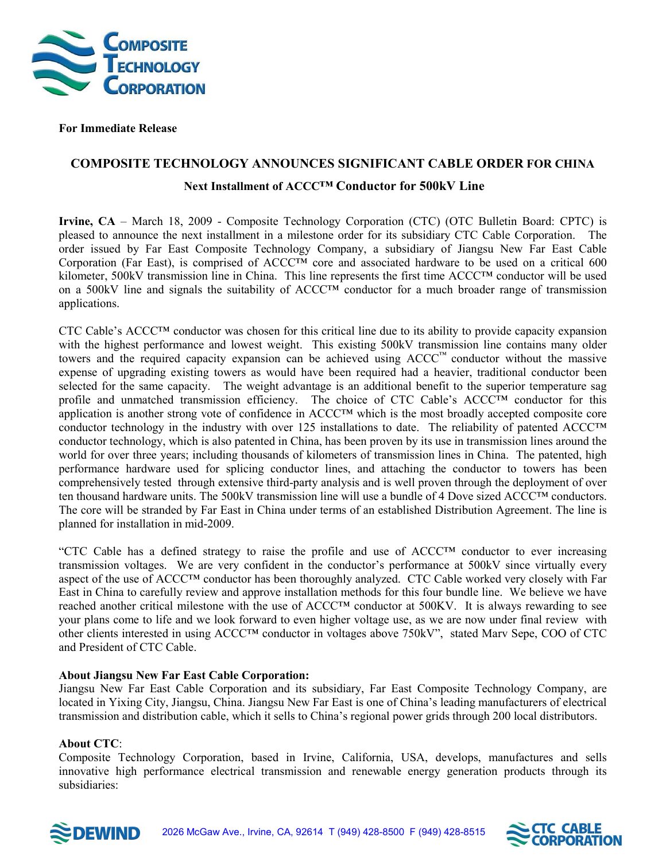

 **For Immediate Release** 

## **COMPOSITE TECHNOLOGY ANNOUNCES SIGNIFICANT CABLE ORDER FOR CHINA**

## **Next Installment of ACCC™ Conductor for 500kV Line**

**Irvine, CA** – March 18, 2009 - Composite Technology Corporation (CTC) (OTC Bulletin Board: CPTC) is pleased to announce the next installment in a milestone order for its subsidiary CTC Cable Corporation. The order issued by Far East Composite Technology Company, a subsidiary of Jiangsu New Far East Cable Corporation (Far East), is comprised of ACCC<sup>™</sup> core and associated hardware to be used on a critical 600 kilometer, 500kV transmission line in China. This line represents the first time ACCC™ conductor will be used on a 500kV line and signals the suitability of ACCC™ conductor for a much broader range of transmission applications.

CTC Cable's ACCC™ conductor was chosen for this critical line due to its ability to provide capacity expansion with the highest performance and lowest weight. This existing 500kV transmission line contains many older towers and the required capacity expansion can be achieved using ACCC™ conductor without the massive expense of upgrading existing towers as would have been required had a heavier, traditional conductor been selected for the same capacity. The weight advantage is an additional benefit to the superior temperature sag profile and unmatched transmission efficiency. The choice of CTC Cable's ACCC™ conductor for this application is another strong vote of confidence in ACCC™ which is the most broadly accepted composite core conductor technology in the industry with over 125 installations to date. The reliability of patented ACCC™ conductor technology, which is also patented in China, has been proven by its use in transmission lines around the world for over three years; including thousands of kilometers of transmission lines in China. The patented, high performance hardware used for splicing conductor lines, and attaching the conductor to towers has been comprehensively tested through extensive third-party analysis and is well proven through the deployment of over ten thousand hardware units. The 500kV transmission line will use a bundle of 4 Dove sized ACCC™ conductors. The core will be stranded by Far East in China under terms of an established Distribution Agreement. The line is planned for installation in mid-2009.

"CTC Cable has a defined strategy to raise the profile and use of ACCC™ conductor to ever increasing transmission voltages. We are very confident in the conductor's performance at 500kV since virtually every aspect of the use of ACCC™ conductor has been thoroughly analyzed. CTC Cable worked very closely with Far East in China to carefully review and approve installation methods for this four bundle line. We believe we have reached another critical milestone with the use of ACCC™ conductor at 500KV. It is always rewarding to see your plans come to life and we look forward to even higher voltage use, as we are now under final review with other clients interested in using ACCC™ conductor in voltages above 750kV", stated Marv Sepe, COO of CTC and President of CTC Cable.

## **About Jiangsu New Far East Cable Corporation:**

Jiangsu New Far East Cable Corporation and its subsidiary, Far East Composite Technology Company, are located in Yixing City, Jiangsu, China. Jiangsu New Far East is one of China's leading manufacturers of electrical transmission and distribution cable, which it sells to China's regional power grids through 200 local distributors.

## **About CTC**:

Composite Technology Corporation, based in Irvine, California, USA, develops, manufactures and sells innovative high performance electrical transmission and renewable energy generation products through its subsidiaries: